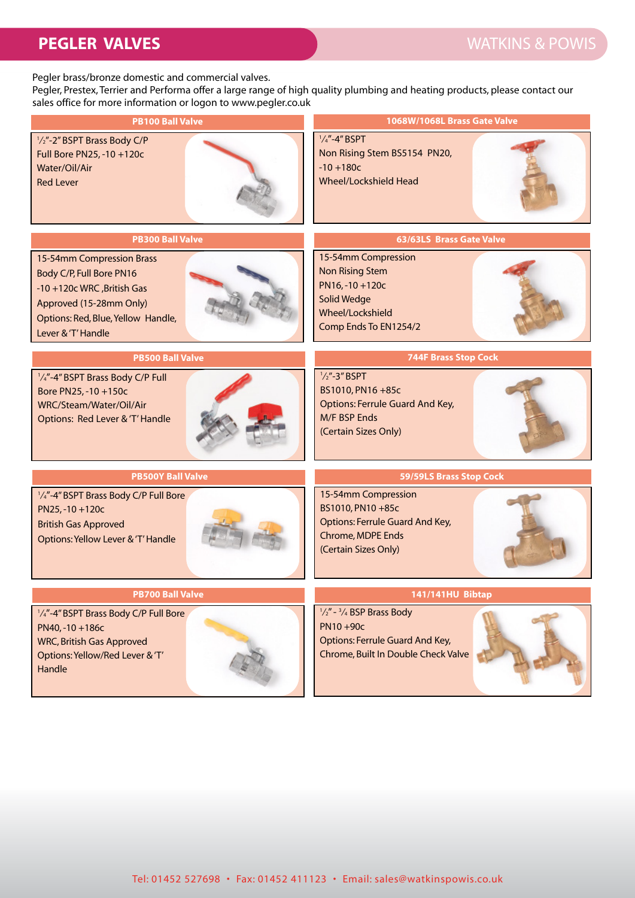## **PEGLER VALVES** WATKINS & POWIS

Pegler brass/bronze domestic and commercial valves.

Pegler, Prestex, Terrier and Performa offer a large range of high quality plumbing and heating products, please contact our sales office for more information or logon to www.pegler.co.uk